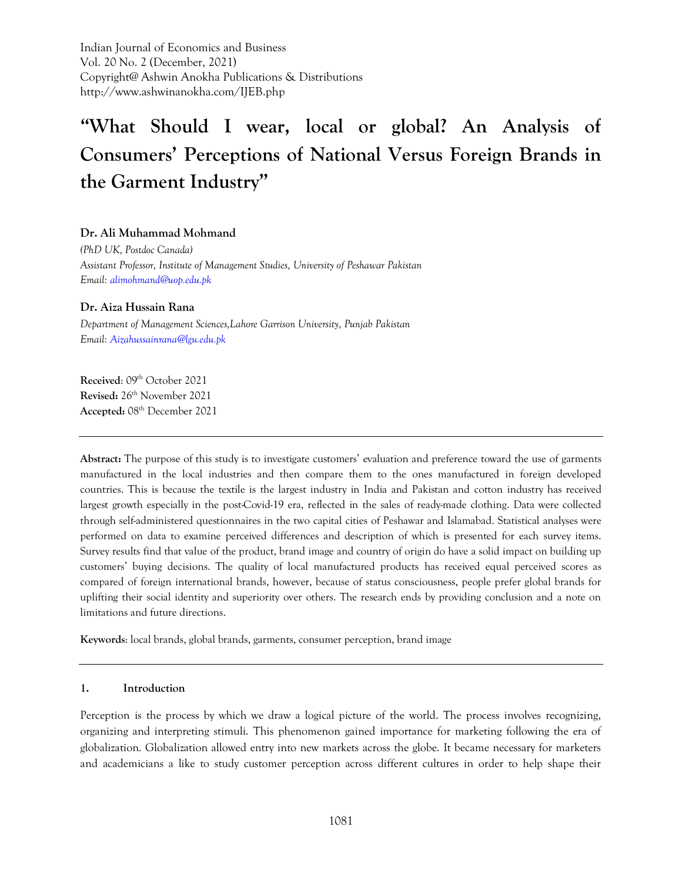Indian Journal of Economics and Business Vol. 20 No. 2 (December, 2021) Copyright@ Ashwin Anokha Publications & Distributions http://www.ashwinanokha.com/IJEB.php

# **"What Should I wear, local or global? An Analysis of Consumers' Perceptions of National Versus Foreign Brands in the Garment Industry"**

#### **Dr. Ali Muhammad Mohmand**

*(PhD UK, Postdoc Canada) Assistant Professor, Institute of Management Studies, University of Peshawar Pakistan Email[: alimohmand@uop.edu.pk](mailto:alimohmand@uop.edu.pk)*

#### **Dr. Aiza Hussain Rana**

*Department of Management Sciences,Lahore Garrison University, Punjab Pakistan Email[: Aizahussainrana@lgu.edu.pk](mailto:Aizahussainrana@lgu.edu.pk)*

Received: 09<sup>th</sup> October 2021 **Revised:** 26th November 2021 **Accepted:** 08th December 2021

**Abstract:** The purpose of this study is to investigate customers' evaluation and preference toward the use of garments manufactured in the local industries and then compare them to the ones manufactured in foreign developed countries. This is because the textile is the largest industry in India and Pakistan and cotton industry has received largest growth especially in the post-Covid-19 era, reflected in the sales of ready-made clothing. Data were collected through self-administered questionnaires in the two capital cities of Peshawar and Islamabad. Statistical analyses were performed on data to examine perceived differences and description of which is presented for each survey items. Survey results find that value of the product, brand image and country of origin do have a solid impact on building up customers' buying decisions. The quality of local manufactured products has received equal perceived scores as compared of foreign international brands, however, because of status consciousness, people prefer global brands for uplifting their social identity and superiority over others. The research ends by providing conclusion and a note on limitations and future directions.

**Keywords**: local brands, global brands, garments, consumer perception, brand image

#### **1. Introduction**

Perception is the process by which we draw a logical picture of the world. The process involves recognizing, organizing and interpreting stimuli. This phenomenon gained importance for marketing following the era of globalization. Globalization allowed entry into new markets across the globe. It became necessary for marketers and academicians a like to study customer perception across different cultures in order to help shape their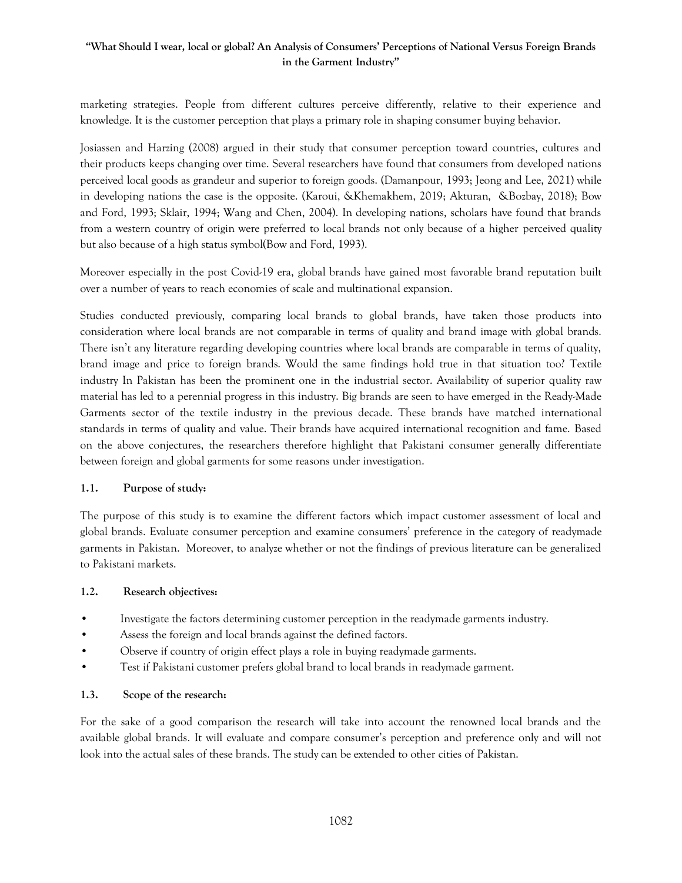marketing strategies. People from different cultures perceive differently, relative to their experience and knowledge. It is the customer perception that plays a primary role in shaping consumer buying behavior.

Josiassen and Harzing (2008) argued in their study that consumer perception toward countries, cultures and their products keeps changing over time. Several researchers have found that consumers from developed nations perceived local goods as grandeur and superior to foreign goods. (Damanpour, 1993; Jeong and Lee, 2021) while in developing nations the case is the opposite. (Karoui, &Khemakhem, 2019; Akturan, &Bozbay, 2018); Bow and Ford, 1993; Sklair, 1994; Wang and Chen, 2004). In developing nations, scholars have found that brands from a western country of origin were preferred to local brands not only because of a higher perceived quality but also because of a high status symbol(Bow and Ford, 1993).

Moreover especially in the post Covid-19 era, global brands have gained most favorable brand reputation built over a number of years to reach economies of scale and multinational expansion.

Studies conducted previously, comparing local brands to global brands, have taken those products into consideration where local brands are not comparable in terms of quality and brand image with global brands. There isn't any literature regarding developing countries where local brands are comparable in terms of quality, brand image and price to foreign brands. Would the same findings hold true in that situation too? Textile industry In Pakistan has been the prominent one in the industrial sector. Availability of superior quality raw material has led to a perennial progress in this industry. Big brands are seen to have emerged in the Ready-Made Garments sector of the textile industry in the previous decade. These brands have matched international standards in terms of quality and value. Their brands have acquired international recognition and fame. Based on the above conjectures, the researchers therefore highlight that Pakistani consumer generally differentiate between foreign and global garments for some reasons under investigation.

#### **1.1. Purpose of study:**

The purpose of this study is to examine the different factors which impact customer assessment of local and global brands. Evaluate consumer perception and examine consumers' preference in the category of readymade garments in Pakistan. Moreover, to analyze whether or not the findings of previous literature can be generalized to Pakistani markets.

#### **1.2. Research objectives:**

- Investigate the factors determining customer perception in the readymade garments industry.
- Assess the foreign and local brands against the defined factors.
- Observe if country of origin effect plays a role in buying readymade garments.
- Test if Pakistani customer prefers global brand to local brands in readymade garment.

#### **1.3. Scope of the research:**

For the sake of a good comparison the research will take into account the renowned local brands and the available global brands. It will evaluate and compare consumer's perception and preference only and will not look into the actual sales of these brands. The study can be extended to other cities of Pakistan.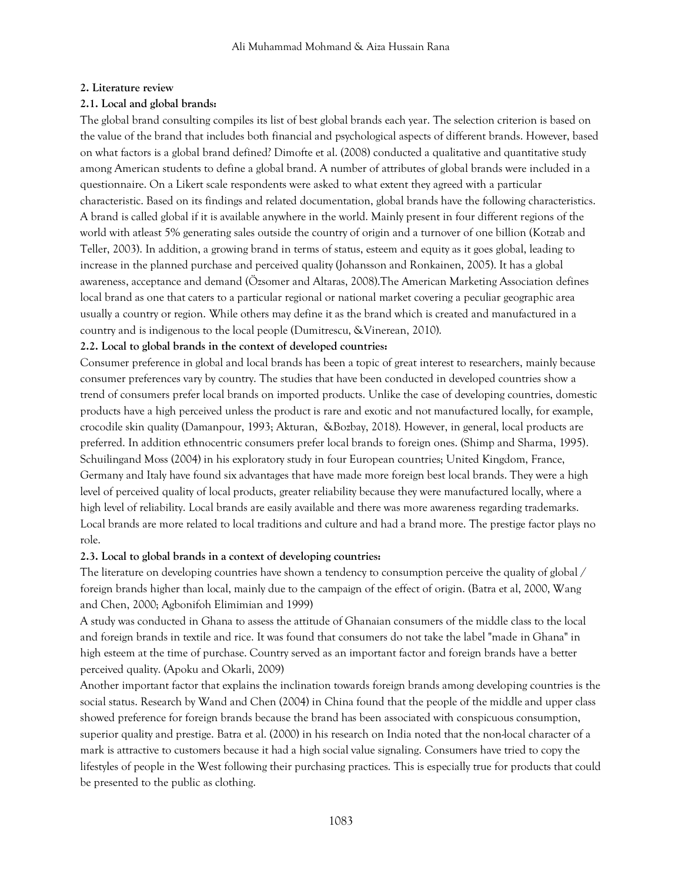#### **2. Literature review**

#### **2.1. Local and global brands:**

The global brand consulting compiles its list of best global brands each year. The selection criterion is based on the value of the brand that includes both financial and psychological aspects of different brands. However, based on what factors is a global brand defined? Dimofte et al. (2008) conducted a qualitative and quantitative study among American students to define a global brand. A number of attributes of global brands were included in a questionnaire. On a Likert scale respondents were asked to what extent they agreed with a particular characteristic. Based on its findings and related documentation, global brands have the following characteristics. A brand is called global if it is available anywhere in the world. Mainly present in four different regions of the world with atleast 5% generating sales outside the country of origin and a turnover of one billion (Kotzab and Teller, 2003). In addition, a growing brand in terms of status, esteem and equity as it goes global, leading to increase in the planned purchase and perceived quality (Johansson and Ronkainen, 2005). It has a global awareness, acceptance and demand (Özsomer and Altaras, 2008).The American Marketing Association defines local brand as one that caters to a particular regional or national market covering a peculiar geographic area usually a country or region. While others may define it as the brand which is created and manufactured in a country and is indigenous to the local people (Dumitrescu, &Vinerean, 2010).

#### **2.2. Local to global brands in the context of developed countries:**

Consumer preference in global and local brands has been a topic of great interest to researchers, mainly because consumer preferences vary by country. The studies that have been conducted in developed countries show a trend of consumers prefer local brands on imported products. Unlike the case of developing countries, domestic products have a high perceived unless the product is rare and exotic and not manufactured locally, for example, crocodile skin quality (Damanpour, 1993; Akturan, &Bozbay, 2018). However, in general, local products are preferred. In addition ethnocentric consumers prefer local brands to foreign ones. (Shimp and Sharma, 1995). Schuilingand Moss (2004) in his exploratory study in four European countries; United Kingdom, France, Germany and Italy have found six advantages that have made more foreign best local brands. They were a high level of perceived quality of local products, greater reliability because they were manufactured locally, where a high level of reliability. Local brands are easily available and there was more awareness regarding trademarks. Local brands are more related to local traditions and culture and had a brand more. The prestige factor plays no role.

#### **2.3. Local to global brands in a context of developing countries:**

The literature on developing countries have shown a tendency to consumption perceive the quality of global / foreign brands higher than local, mainly due to the campaign of the effect of origin. (Batra et al, 2000, Wang and Chen, 2000; Agbonifoh Elimimian and 1999)

A study was conducted in Ghana to assess the attitude of Ghanaian consumers of the middle class to the local and foreign brands in textile and rice. It was found that consumers do not take the label "made in Ghana" in high esteem at the time of purchase. Country served as an important factor and foreign brands have a better perceived quality. (Apoku and Okarli, 2009)

Another important factor that explains the inclination towards foreign brands among developing countries is the social status. Research by Wand and Chen (2004) in China found that the people of the middle and upper class showed preference for foreign brands because the brand has been associated with conspicuous consumption, superior quality and prestige. Batra et al. (2000) in his research on India noted that the non-local character of a mark is attractive to customers because it had a high social value signaling. Consumers have tried to copy the lifestyles of people in the West following their purchasing practices. This is especially true for products that could be presented to the public as clothing.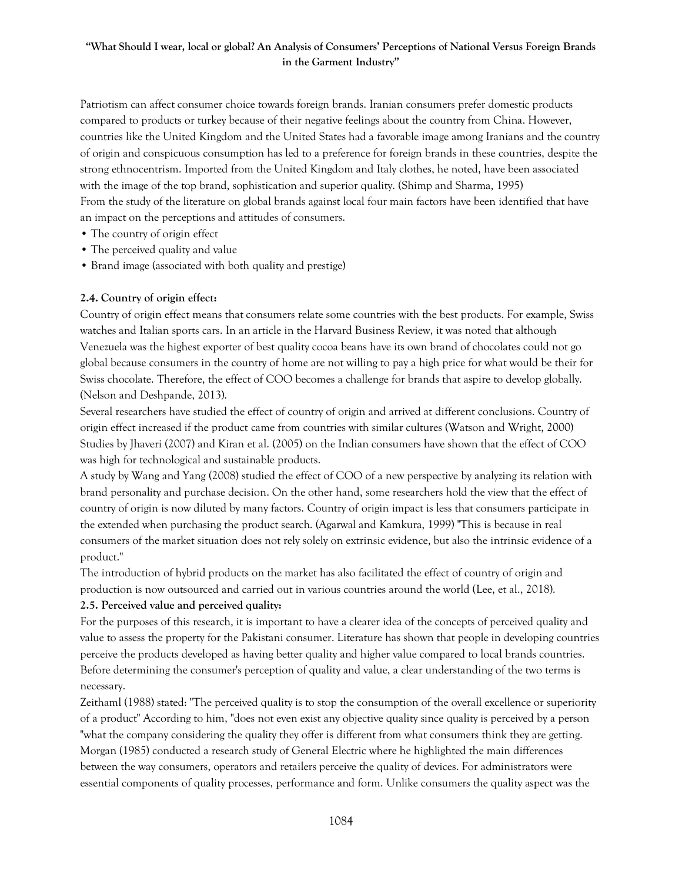Patriotism can affect consumer choice towards foreign brands. Iranian consumers prefer domestic products compared to products or turkey because of their negative feelings about the country from China. However, countries like the United Kingdom and the United States had a favorable image among Iranians and the country of origin and conspicuous consumption has led to a preference for foreign brands in these countries, despite the strong ethnocentrism. Imported from the United Kingdom and Italy clothes, he noted, have been associated with the image of the top brand, sophistication and superior quality. (Shimp and Sharma, 1995) From the study of the literature on global brands against local four main factors have been identified that have an impact on the perceptions and attitudes of consumers.

- The country of origin effect
- The perceived quality and value
- Brand image (associated with both quality and prestige)

#### **2.4. Country of origin effect:**

Country of origin effect means that consumers relate some countries with the best products. For example, Swiss watches and Italian sports cars. In an article in the Harvard Business Review, it was noted that although Venezuela was the highest exporter of best quality cocoa beans have its own brand of chocolates could not go global because consumers in the country of home are not willing to pay a high price for what would be their for Swiss chocolate. Therefore, the effect of COO becomes a challenge for brands that aspire to develop globally. (Nelson and Deshpande, 2013).

Several researchers have studied the effect of country of origin and arrived at different conclusions. Country of origin effect increased if the product came from countries with similar cultures (Watson and Wright, 2000) Studies by Jhaveri (2007) and Kiran et al. (2005) on the Indian consumers have shown that the effect of COO was high for technological and sustainable products.

A study by Wang and Yang (2008) studied the effect of COO of a new perspective by analyzing its relation with brand personality and purchase decision. On the other hand, some researchers hold the view that the effect of country of origin is now diluted by many factors. Country of origin impact is less that consumers participate in the extended when purchasing the product search. (Agarwal and Kamkura, 1999) "This is because in real consumers of the market situation does not rely solely on extrinsic evidence, but also the intrinsic evidence of a product."

The introduction of hybrid products on the market has also facilitated the effect of country of origin and production is now outsourced and carried out in various countries around the world (Lee, et al., 2018).

#### **2.5. Perceived value and perceived quality:**

For the purposes of this research, it is important to have a clearer idea of the concepts of perceived quality and value to assess the property for the Pakistani consumer. Literature has shown that people in developing countries perceive the products developed as having better quality and higher value compared to local brands countries. Before determining the consumer's perception of quality and value, a clear understanding of the two terms is necessary.

Zeithaml (1988) stated: "The perceived quality is to stop the consumption of the overall excellence or superiority of a product" According to him, "does not even exist any objective quality since quality is perceived by a person "what the company considering the quality they offer is different from what consumers think they are getting. Morgan (1985) conducted a research study of General Electric where he highlighted the main differences between the way consumers, operators and retailers perceive the quality of devices. For administrators were essential components of quality processes, performance and form. Unlike consumers the quality aspect was the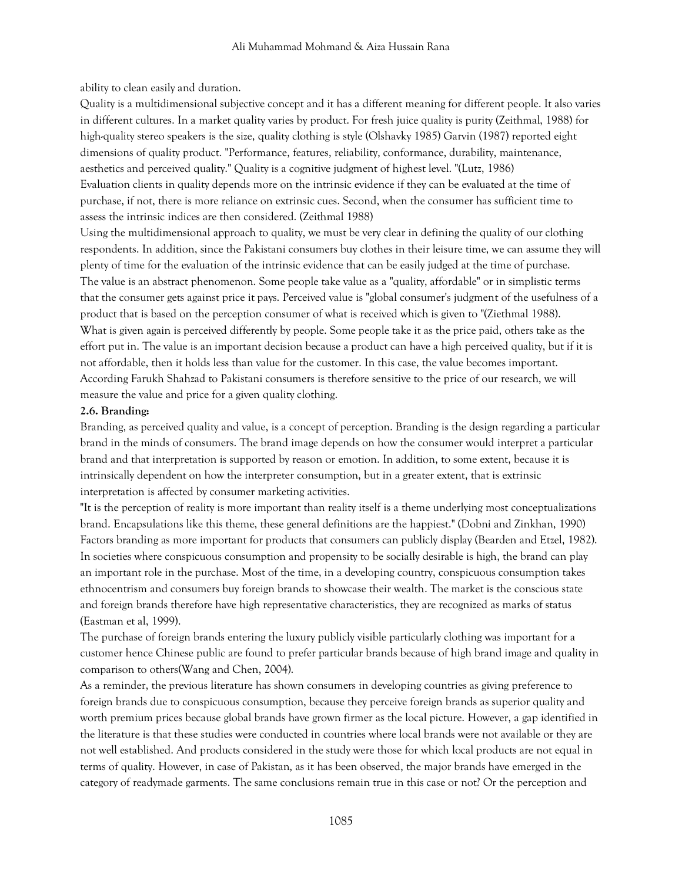ability to clean easily and duration.

Quality is a multidimensional subjective concept and it has a different meaning for different people. It also varies in different cultures. In a market quality varies by product. For fresh juice quality is purity (Zeithmal, 1988) for high-quality stereo speakers is the size, quality clothing is style (Olshavky 1985) Garvin (1987) reported eight dimensions of quality product. "Performance, features, reliability, conformance, durability, maintenance, aesthetics and perceived quality." Quality is a cognitive judgment of highest level. "(Lutz, 1986) Evaluation clients in quality depends more on the intrinsic evidence if they can be evaluated at the time of purchase, if not, there is more reliance on extrinsic cues. Second, when the consumer has sufficient time to assess the intrinsic indices are then considered. (Zeithmal 1988)

Using the multidimensional approach to quality, we must be very clear in defining the quality of our clothing respondents. In addition, since the Pakistani consumers buy clothes in their leisure time, we can assume they will plenty of time for the evaluation of the intrinsic evidence that can be easily judged at the time of purchase. The value is an abstract phenomenon. Some people take value as a "quality, affordable" or in simplistic terms that the consumer gets against price it pays. Perceived value is "global consumer's judgment of the usefulness of a product that is based on the perception consumer of what is received which is given to "(Ziethmal 1988). What is given again is perceived differently by people. Some people take it as the price paid, others take as the effort put in. The value is an important decision because a product can have a high perceived quality, but if it is not affordable, then it holds less than value for the customer. In this case, the value becomes important. According Farukh Shahzad to Pakistani consumers is therefore sensitive to the price of our research, we will measure the value and price for a given quality clothing.

#### **2.6. Branding:**

Branding, as perceived quality and value, is a concept of perception. Branding is the design regarding a particular brand in the minds of consumers. The brand image depends on how the consumer would interpret a particular brand and that interpretation is supported by reason or emotion. In addition, to some extent, because it is intrinsically dependent on how the interpreter consumption, but in a greater extent, that is extrinsic interpretation is affected by consumer marketing activities.

"It is the perception of reality is more important than reality itself is a theme underlying most conceptualizations brand. Encapsulations like this theme, these general definitions are the happiest." (Dobni and Zinkhan, 1990) Factors branding as more important for products that consumers can publicly display (Bearden and Etzel, 1982). In societies where conspicuous consumption and propensity to be socially desirable is high, the brand can play an important role in the purchase. Most of the time, in a developing country, conspicuous consumption takes ethnocentrism and consumers buy foreign brands to showcase their wealth. The market is the conscious state and foreign brands therefore have high representative characteristics, they are recognized as marks of status (Eastman et al, 1999).

The purchase of foreign brands entering the luxury publicly visible particularly clothing was important for a customer hence Chinese public are found to prefer particular brands because of high brand image and quality in comparison to others(Wang and Chen, 2004).

As a reminder, the previous literature has shown consumers in developing countries as giving preference to foreign brands due to conspicuous consumption, because they perceive foreign brands as superior quality and worth premium prices because global brands have grown firmer as the local picture. However, a gap identified in the literature is that these studies were conducted in countries where local brands were not available or they are not well established. And products considered in the study were those for which local products are not equal in terms of quality. However, in case of Pakistan, as it has been observed, the major brands have emerged in the category of readymade garments. The same conclusions remain true in this case or not? Or the perception and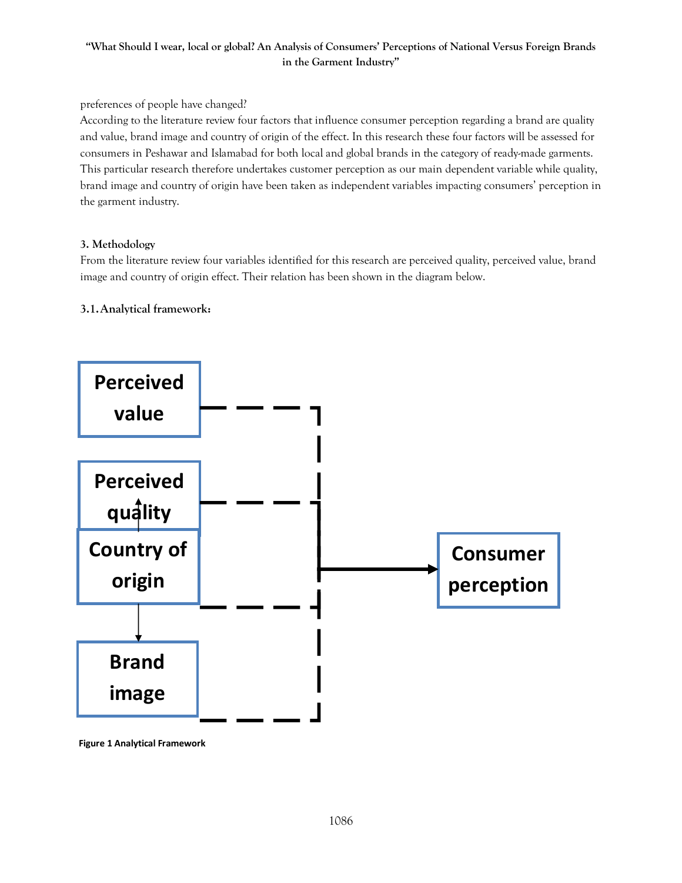#### preferences of people have changed?

According to the literature review four factors that influence consumer perception regarding a brand are quality and value, brand image and country of origin of the effect. In this research these four factors will be assessed for consumers in Peshawar and Islamabad for both local and global brands in the category of ready-made garments. This particular research therefore undertakes customer perception as our main dependent variable while quality, brand image and country of origin have been taken as independent variables impacting consumers' perception in the garment industry.

#### **3. Methodology**

From the literature review four variables identified for this research are perceived quality, perceived value, brand image and country of origin effect. Their relation has been shown in the diagram below.

# **3.1.Analytical framework:**



**Figure 1 Analytical Framework**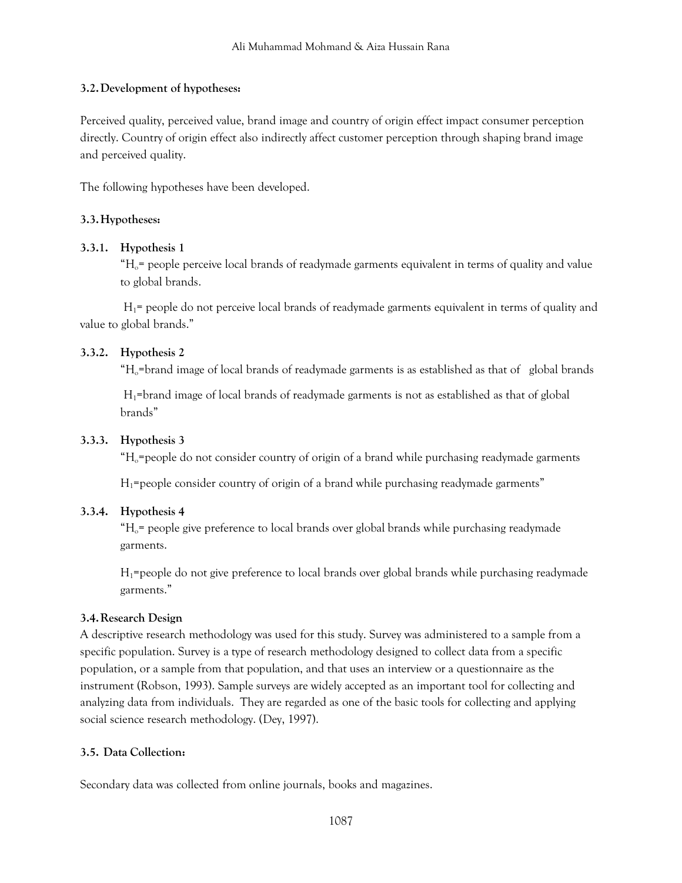# **3.2.Development of hypotheses:**

Perceived quality, perceived value, brand image and country of origin effect impact consumer perception directly. Country of origin effect also indirectly affect customer perception through shaping brand image and perceived quality.

The following hypotheses have been developed.

# **3.3.Hypotheses:**

# **3.3.1. Hypothesis 1**

 $H_0$ = people perceive local brands of readymade garments equivalent in terms of quality and value to global brands.

 $H_1$ = people do not perceive local brands of readymade garments equivalent in terms of quality and value to global brands."

# **3.3.2. Hypothesis 2**

 $H_0$ =brand image of local brands of readymade garments is as established as that of global brands

H1=brand image of local brands of readymade garments is not as established as that of global brands"

# **3.3.3. Hypothesis 3**

 $H_0$ =people do not consider country of origin of a brand while purchasing readymade garments

 $H_1$ =people consider country of origin of a brand while purchasing readymade garments"

# **3.3.4. Hypothesis 4**

 $H_0$ = people give preference to local brands over global brands while purchasing readymade garments.

 $H_1$ =people do not give preference to local brands over global brands while purchasing readymade garments."

# **3.4.Research Design**

A descriptive research methodology was used for this study. Survey was administered to a sample from a specific population. Survey is a type of research methodology designed to collect data from a specific population, or a sample from that population, and that uses an interview or a questionnaire as the instrument (Robson, 1993). Sample surveys are widely accepted as an important tool for collecting and analyzing data from individuals. They are regarded as one of the basic tools for collecting and applying social science research methodology. (Dey, 1997).

# **3.5. Data Collection:**

Secondary data was collected from online journals, books and magazines.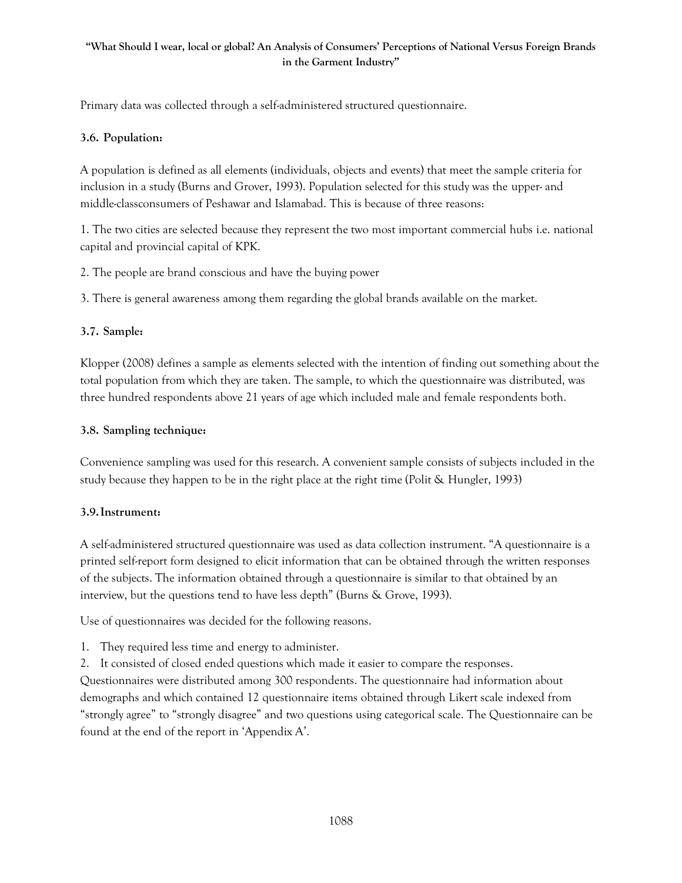Primary data was collected through a self-administered structured questionnaire.

# **3.6. Population:**

A population is defined as all elements (individuals, objects and events) that meet the sample criteria for inclusion in a study (Burns and Grover, 1993). Population selected for this study was the upper- and middle-classconsumers of Peshawar and Islamabad. This is because of three reasons:

1. The two cities are selected because they represent the two most important commercial hubs i.e. national capital and provincial capital of KPK.

2. The people are brand conscious and have the buying power

3. There is general awareness among them regarding the global brands available on the market.

# **3.7. Sample:**

Klopper (2008) defines a sample as elements selected with the intention of finding out something about the total population from which they are taken. The sample, to which the questionnaire was distributed, was three hundred respondents above 21 years of age which included male and female respondents both.

# **3.8. Sampling technique:**

Convenience sampling was used for this research. A convenient sample consists of subjects included in the study because they happen to be in the right place at the right time (Polit & Hungler, 1993)

# **3.9.Instrument:**

A self-administered structured questionnaire was used as data collection instrument. "A questionnaire is a printed self-report form designed to elicit information that can be obtained through the written responses of the subjects. The information obtained through a questionnaire is similar to that obtained by an interview, but the questions tend to have less depth" (Burns & Grove, 1993).

Use of questionnaires was decided for the following reasons.

- 1. They required less time and energy to administer.
- 2. It consisted of closed ended questions which made it easier to compare the responses.

Questionnaires were distributed among 300 respondents. The questionnaire had information about demographs and which contained 12 questionnaire items obtained through Likert scale indexed from "strongly agree" to "strongly disagree" and two questions using categorical scale. The Questionnaire can be found at the end of the report in 'Appendix A'.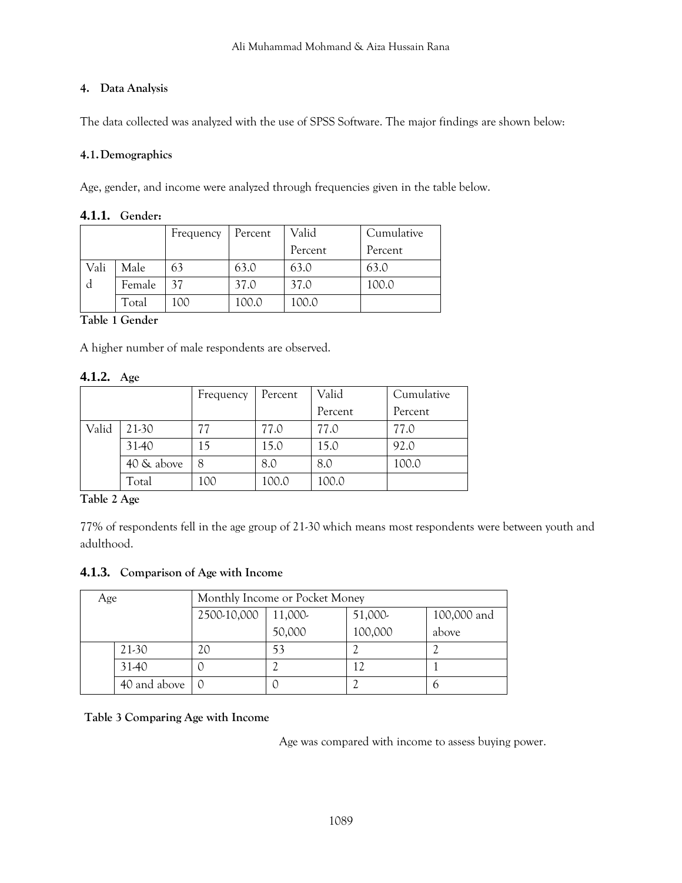# **4. Data Analysis**

The data collected was analyzed with the use of SPSS Software. The major findings are shown below:

# **4.1.Demographics**

Age, gender, and income were analyzed through frequencies given in the table below.

# **4.1.1. Gender:**

|      |        | Frequency | Percent | Valid   | Cumulative |
|------|--------|-----------|---------|---------|------------|
|      |        |           |         | Percent | Percent    |
| Vali | Male   | 63        | 63.0    | 63.0    | 63.0       |
|      | Female | 37        | 37.0    | 37.0    | 100.0      |
|      | Total  | 100       | 100.0   | 100.0   |            |

# **Table 1 Gender**

A higher number of male respondents are observed.

# **4.1.2. Age**

|       |            | Frequency | Percent | Valid   | Cumulative |
|-------|------------|-----------|---------|---------|------------|
|       |            |           |         | Percent | Percent    |
| Valid | 21-30      | 77        | 77.0    | 77.0    | 77.0       |
|       | 31-40      | 15        | 15.0    | 15.0    | 92.0       |
|       | 40 & above |           | 8.0     | 8.0     | 100.0      |
|       | Total      | 100       | 100.0   | 100.0   |            |

**Table 2 Age**

77% of respondents fell in the age group of 21-30 which means most respondents were between youth and adulthood.

# **4.1.3. Comparison of Age with Income**

| Age |              | Monthly Income or Pocket Money |         |         |             |  |
|-----|--------------|--------------------------------|---------|---------|-------------|--|
|     |              | 2500-10,000                    | 11,000- | 51,000- | 100,000 and |  |
|     |              |                                | 50,000  | 100,000 | above       |  |
|     | 21-30        | 20                             | 53      |         |             |  |
|     | 31-40        |                                |         |         |             |  |
|     | 40 and above |                                |         |         |             |  |

# **Table 3 Comparing Age with Income**

Age was compared with income to assess buying power.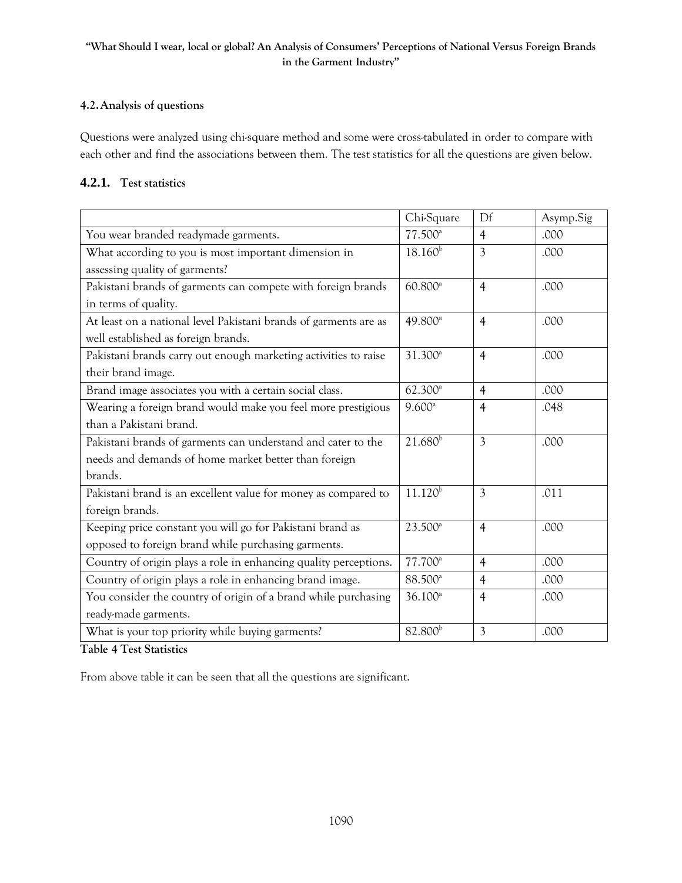#### **4.2.Analysis of questions**

Questions were analyzed using chi-square method and some were cross-tabulated in order to compare with each other and find the associations between them. The test statistics for all the questions are given below.

# **4.2.1. Test statistics**

|                                                                  | Chi-Square          | Df             | Asymp.Sig |
|------------------------------------------------------------------|---------------------|----------------|-----------|
| You wear branded readymade garments.                             | 77.500 <sup>a</sup> | $\overline{4}$ | .000      |
| What according to you is most important dimension in             | $18.160^{b}$        | 3              | .000      |
| assessing quality of garments?                                   |                     |                |           |
| Pakistani brands of garments can compete with foreign brands     | 60.800 <sup>a</sup> | $\overline{4}$ | .000      |
| in terms of quality.                                             |                     |                |           |
| At least on a national level Pakistani brands of garments are as | 49.800 <sup>a</sup> | $\overline{4}$ | .000      |
| well established as foreign brands.                              |                     |                |           |
| Pakistani brands carry out enough marketing activities to raise  | 31.300 <sup>a</sup> | $\overline{4}$ | .000      |
| their brand image.                                               |                     |                |           |
| Brand image associates you with a certain social class.          | $62.300^{\circ}$    | $\overline{4}$ | .000      |
| Wearing a foreign brand would make you feel more prestigious     | 9.600 <sup>a</sup>  | $\overline{4}$ | .048      |
| than a Pakistani brand.                                          |                     |                |           |
| Pakistani brands of garments can understand and cater to the     | $21.680^{b}$        | $\overline{3}$ | .000      |
| needs and demands of home market better than foreign             |                     |                |           |
| brands.                                                          |                     |                |           |
| Pakistani brand is an excellent value for money as compared to   | $11.120^{b}$        | $\overline{3}$ | .011      |
| foreign brands.                                                  |                     |                |           |
| Keeping price constant you will go for Pakistani brand as        | 23.500 <sup>a</sup> | $\overline{4}$ | .000      |
| opposed to foreign brand while purchasing garments.              |                     |                |           |
| Country of origin plays a role in enhancing quality perceptions. | 77.700 <sup>a</sup> | $\overline{4}$ | .000      |
| Country of origin plays a role in enhancing brand image.         | 88.500 <sup>a</sup> | $\overline{4}$ | .000      |
| You consider the country of origin of a brand while purchasing   | $36.100^a$          | $\overline{4}$ | .000      |
| ready-made garments.                                             |                     |                |           |
| What is your top priority while buying garments?                 | 82.800 <sup>b</sup> | $\overline{3}$ | .000      |

**Table 4 Test Statistics**

From above table it can be seen that all the questions are significant.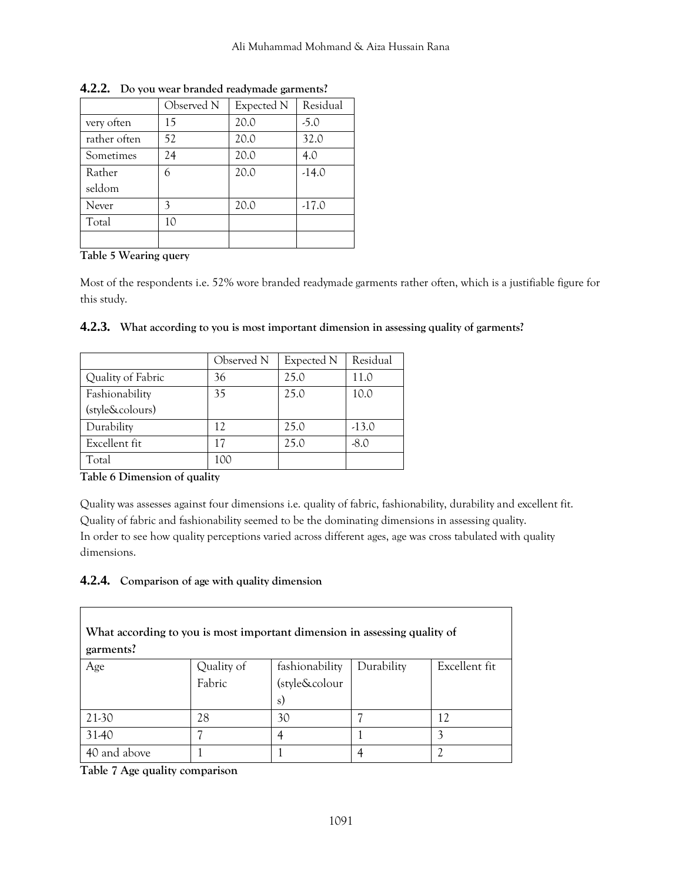|              | Observed N | Expected N | Residual |
|--------------|------------|------------|----------|
| very often   | 15         | 20.0       | $-5.0$   |
| rather often | 52         | 20.0       | 32.0     |
| Sometimes    | 24         | 20.0       | 4.0      |
| Rather       | 6          | 20.0       | $-14.0$  |
| seldom       |            |            |          |
| Never        | 3          | 20.0       | $-17.0$  |
| Total        | 10         |            |          |
|              |            |            |          |

**4.2.2. Do you wear branded readymade garments?**

# **Table 5 Wearing query**

Most of the respondents i.e. 52% wore branded readymade garments rather often, which is a justifiable figure for this study.

|                   | Observed N | Expected N | Residual |
|-------------------|------------|------------|----------|
| Quality of Fabric | 36         | 25.0       | 11.0     |
| Fashionability    | 35         | 25.0       | 10.0     |
| (style&colours)   |            |            |          |
| Durability        | 12         | 25.0       | $-13.0$  |
| Excellent fit     | 17         | 25.0       | $-8.0$   |
| Total             | 100        |            |          |

|  |  |  |  |  |  | 4.2.3. What according to you is most important dimension in assessing quality of garments? |  |
|--|--|--|--|--|--|--------------------------------------------------------------------------------------------|--|
|--|--|--|--|--|--|--------------------------------------------------------------------------------------------|--|

#### **Table 6 Dimension of quality**

Quality was assesses against four dimensions i.e. quality of fabric, fashionability, durability and excellent fit. Quality of fabric and fashionability seemed to be the dominating dimensions in assessing quality. In order to see how quality perceptions varied across different ages, age was cross tabulated with quality dimensions.

#### **4.2.4. Comparison of age with quality dimension**

| What according to you is most important dimension in assessing quality of<br>garments? |                      |                                       |            |               |  |
|----------------------------------------------------------------------------------------|----------------------|---------------------------------------|------------|---------------|--|
| Age                                                                                    | Quality of<br>Fabric | fashionability<br>(style&colour<br>s) | Durability | Excellent fit |  |
| 21-30                                                                                  | 28                   | 30                                    |            | 12            |  |
| 31-40                                                                                  |                      | 4                                     |            |               |  |
| 40 and above                                                                           |                      |                                       |            |               |  |

**Table 7 Age quality comparison**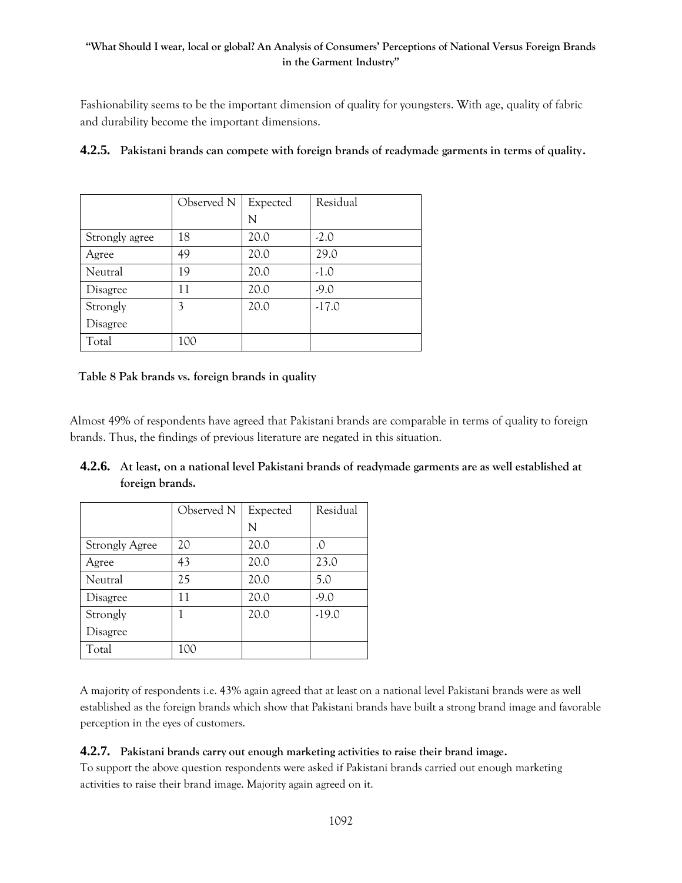Fashionability seems to be the important dimension of quality for youngsters. With age, quality of fabric and durability become the important dimensions.

|                 | Observed N | Expected | Residual |
|-----------------|------------|----------|----------|
|                 |            | N        |          |
| Strongly agree  | 18         | 20.0     | $-2.0$   |
| Agree           | 49         | 20.0     | 29.0     |
| Neutral         | 19         | 20.0     | $-1.0$   |
| Disagree        | 11         | 20.0     | $-9.0$   |
| Strongly        | 3          | 20.0     | $-17.0$  |
| <b>Disagree</b> |            |          |          |
| Total           | 100        |          |          |

# **4.2.5. Pakistani brands can compete with foreign brands of readymade garments in terms of quality.**

#### **Table 8 Pak brands vs. foreign brands in quality**

Almost 49% of respondents have agreed that Pakistani brands are comparable in terms of quality to foreign brands. Thus, the findings of previous literature are negated in this situation.

|                       | Observed N | Expected | Residual |
|-----------------------|------------|----------|----------|
|                       |            | N        |          |
| <b>Strongly Agree</b> | 20         | 20.0     | .0       |
| Agree                 | 43         | 20.0     | 23.0     |
| Neutral               | 25         | 20.0     | 5.0      |
| Disagree              | 11         | 20.0     | $-9.0$   |
| Strongly              | 1          | 20.0     | $-19.0$  |
| Disagree              |            |          |          |
| Total                 |            |          |          |

# **4.2.6. At least, on a national level Pakistani brands of readymade garments are as well established at foreign brands.**

A majority of respondents i.e. 43% again agreed that at least on a national level Pakistani brands were as well established as the foreign brands which show that Pakistani brands have built a strong brand image and favorable perception in the eyes of customers.

# **4.2.7. Pakistani brands carry out enough marketing activities to raise their brand image.**

To support the above question respondents were asked if Pakistani brands carried out enough marketing activities to raise their brand image. Majority again agreed on it.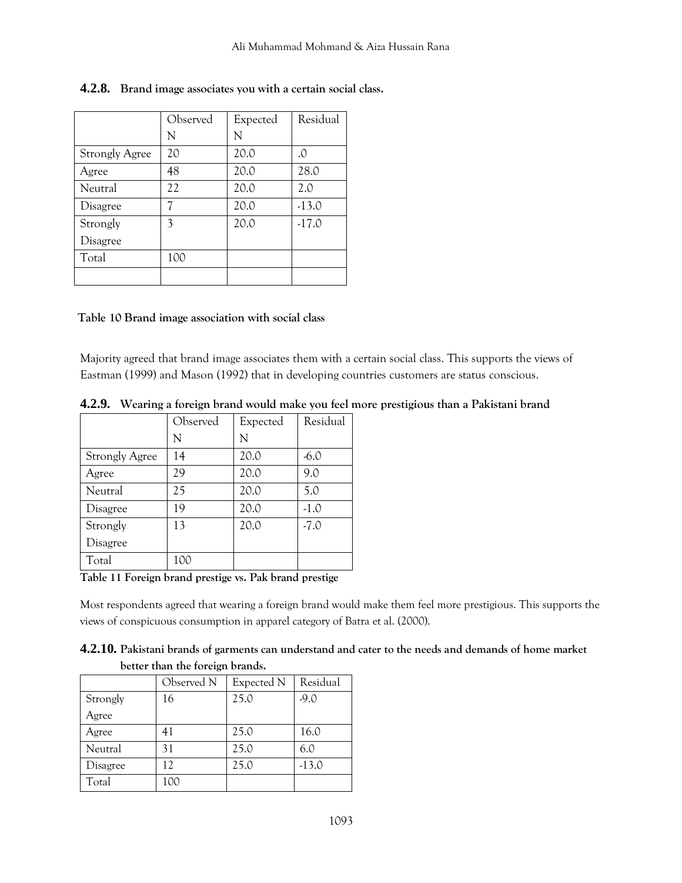|                       | Observed | Expected | Residual |
|-----------------------|----------|----------|----------|
|                       | N        | N        |          |
| <b>Strongly Agree</b> | 20       | 20.0     | .0       |
| Agree                 | 48       | 20.0     | 28.0     |
| Neutral               | 22       | 20.0     | 2.0      |
| Disagree              | 7        | 20.0     | $-13.0$  |
| Strongly              | 3        | 20.0     | $-17.0$  |
| Disagree              |          |          |          |
| Total                 | 100      |          |          |
|                       |          |          |          |

# **4.2.8. Brand image associates you with a certain social class.**

#### **Table 10 Brand image association with social class**

Majority agreed that brand image associates them with a certain social class. This supports the views of Eastman (1999) and Mason (1992) that in developing countries customers are status conscious.

|                       | Observed | Expected | Residual |
|-----------------------|----------|----------|----------|
|                       | N        | N        |          |
| <b>Strongly Agree</b> | 14       | 20.0     | $-6.0$   |
| Agree                 | 29       | 20.0     | 9.0      |
| Neutral               | 25       | 20.0     | 5.0      |
| Disagree              | 19       | 20.0     | $-1.0$   |
| Strongly              | 13       | 20.0     | $-7.0$   |
| Disagree              |          |          |          |
| Total                 | 100      |          |          |

**4.2.9. Wearing a foreign brand would make you feel more prestigious than a Pakistani brand**

**Table 11 Foreign brand prestige vs. Pak brand prestige**

Most respondents agreed that wearing a foreign brand would make them feel more prestigious. This supports the views of conspicuous consumption in apparel category of Batra et al. (2000).

**4.2.10. Pakistani brands of garments can understand and cater to the needs and demands of home market better than the foreign brands.**

|          | Observed N | Expected N | Residual |
|----------|------------|------------|----------|
| Strongly | 16         | 25.0       | $-9.0$   |
| Agree    |            |            |          |
| Agree    | 41         | 25.0       | 16.0     |
| Neutral  | 31         | 25.0       | 6.0      |
| Disagree | 12         | 25.0       | $-13.0$  |
| Total    | 100        |            |          |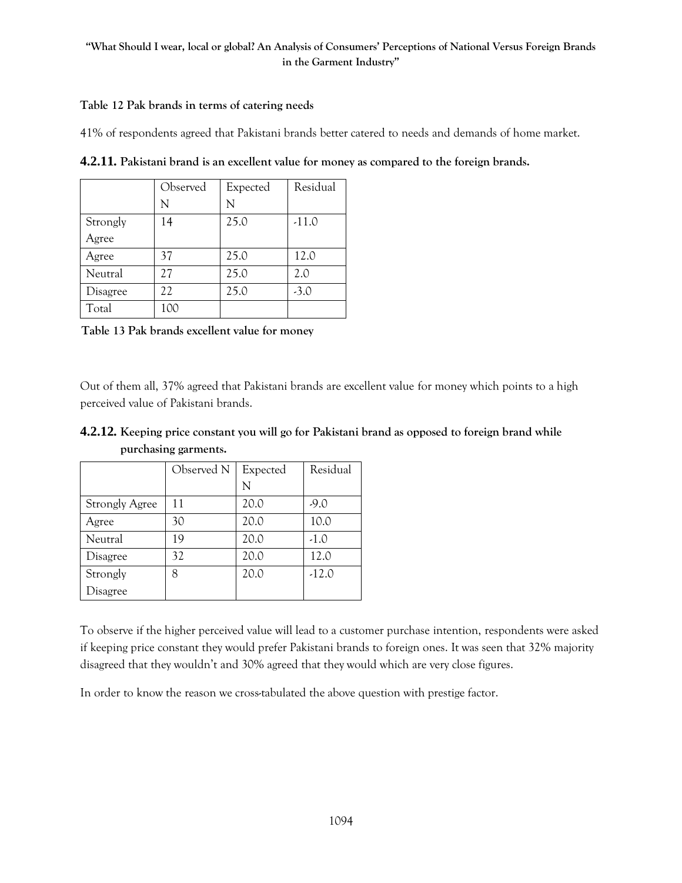#### **Table 12 Pak brands in terms of catering needs**

41% of respondents agreed that Pakistani brands better catered to needs and demands of home market.

|          | Observed | Expected | Residual |
|----------|----------|----------|----------|
|          | N        | N        |          |
| Strongly | 14       | 25.0     | $-11.0$  |
| Agree    |          |          |          |
| Agree    | 37       | 25.0     | 12.0     |
| Neutral  | 27       | 25.0     | 2.0      |
| Disagree | 22       | 25.0     | $-3.0$   |
| Total    | 100      |          |          |

**4.2.11. Pakistani brand is an excellent value for money as compared to the foreign brands.**

**Table 13 Pak brands excellent value for money**

Out of them all, 37% agreed that Pakistani brands are excellent value for money which points to a high perceived value of Pakistani brands.

|                       | Observed N | Expected | Residual |  |
|-----------------------|------------|----------|----------|--|
|                       |            | N        |          |  |
| <b>Strongly Agree</b> | 11         | 20.0     | $-9.0$   |  |
| Agree                 | 30         | 20.0     | 10.0     |  |
| Neutral               | 19         | 20.0     | $-1.0$   |  |
| Disagree              | 32         | 20.0     | 12.0     |  |
| Strongly              | 8          | 20.0     | $-12.0$  |  |
| Disagree              |            |          |          |  |

**4.2.12. Keeping price constant you will go for Pakistani brand as opposed to foreign brand while purchasing garments.**

To observe if the higher perceived value will lead to a customer purchase intention, respondents were asked if keeping price constant they would prefer Pakistani brands to foreign ones. It was seen that 32% majority disagreed that they wouldn't and 30% agreed that they would which are very close figures.

In order to know the reason we cross-tabulated the above question with prestige factor.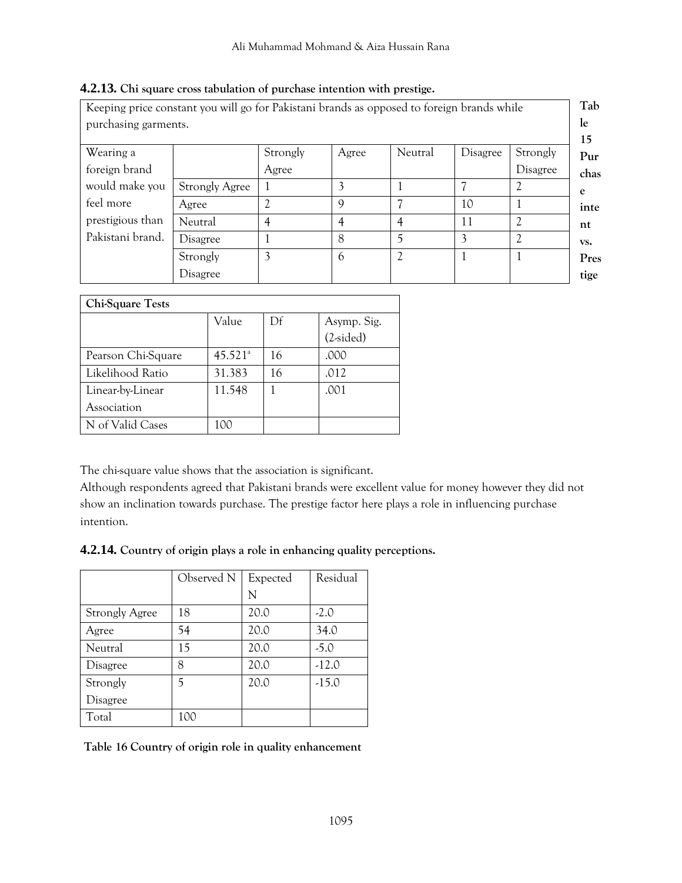| Keeping price constant you will go for Pakistani brands as opposed to foreign brands while |                       |          |             |                             |          |                |
|--------------------------------------------------------------------------------------------|-----------------------|----------|-------------|-----------------------------|----------|----------------|
| purchasing garments.                                                                       |                       |          |             |                             |          |                |
| Wearing a                                                                                  |                       | Strongly | Agree       | Neutral                     | Disagree | Strongly       |
| foreign brand                                                                              |                       | Agree    |             |                             |          | Disagree       |
| would make you                                                                             | <b>Strongly Agree</b> |          |             |                             |          |                |
| feel more                                                                                  | Agree                 | <u>າ</u> | $\mathbf Q$ |                             | 10       |                |
| prestigious than                                                                           | Neutral               | 4        | 4           | 4                           | 11       | $\mathfrak{D}$ |
| Pakistani brand.                                                                           | Disagree              |          | 8           | 5                           | 3        | $\gamma$       |
|                                                                                            | Strongly              | 3        | 6           | $\mathcal{D}_{\mathcal{L}}$ |          |                |
|                                                                                            | Disagree              |          |             |                             |          |                |

# **4.2.13. Chi square cross tabulation of purchase intention with prestige.**

| Chi-Square Tests   |                       |    |             |  |  |
|--------------------|-----------------------|----|-------------|--|--|
|                    | Value                 | Df | Asymp. Sig. |  |  |
|                    |                       |    | $(2-sided)$ |  |  |
| Pearson Chi-Square | $45.521$ <sup>a</sup> | 16 | .000        |  |  |
| Likelihood Ratio   | 31.383                | 16 | .012        |  |  |
| Linear-by-Linear   | 11.548                |    | .001        |  |  |
| Association        |                       |    |             |  |  |
| N of Valid Cases   |                       |    |             |  |  |

The chi-square value shows that the association is significant.

Although respondents agreed that Pakistani brands were excellent value for money however they did not show an inclination towards purchase. The prestige factor here plays a role in influencing purchase intention.

# **4.2.14. Country of origin plays a role in enhancing quality perceptions.**

|                       | Observed N | Expected | Residual |
|-----------------------|------------|----------|----------|
|                       |            | N        |          |
| <b>Strongly Agree</b> | 18         | 20.0     | $-2.0$   |
| Agree                 | 54         | 20.0     | 34.0     |
| Neutral               | 15         | 20.0     | $-5.0$   |
| Disagree              | 8          | 20.0     | $-12.0$  |
| Strongly              | 5          | 20.0     | $-15.0$  |
| Disagree              |            |          |          |
| Total                 | 100        |          |          |

**Table 16 Country of origin role in quality enhancement**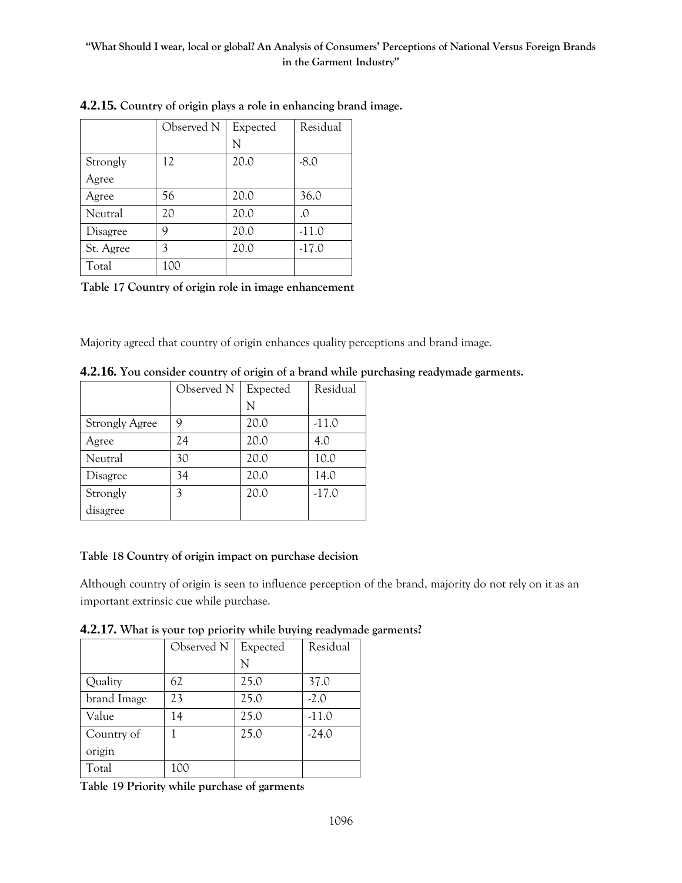|           | Observed N | Expected | Residual |
|-----------|------------|----------|----------|
|           |            | N        |          |
| Strongly  | 12         | 20.0     | $-8.0$   |
| Agree     |            |          |          |
| Agree     | 56         | 20.0     | 36.0     |
| Neutral   | 20         | 20.0     | $\Omega$ |
| Disagree  | 9          | 20.0     | $-11.0$  |
| St. Agree | 3          | 20.0     | $-17.0$  |
| Total     | 100        |          |          |

**4.2.15. Country of origin plays a role in enhancing brand image.**

**Table 17 Country of origin role in image enhancement**

Majority agreed that country of origin enhances quality perceptions and brand image.

|                       | Observed N | Expected | Residual |
|-----------------------|------------|----------|----------|
|                       |            | N        |          |
| <b>Strongly Agree</b> | 9          | 20.0     | $-11.0$  |
| Agree                 | 24         | 20.0     | 4.0      |
| Neutral               | 30         | 20.0     | 10.0     |
| Disagree              | 34         | 20.0     | 14.0     |
| Strongly              | 3          | 20.0     | $-17.0$  |
| disagree              |            |          |          |

**4.2.16. You consider country of origin of a brand while purchasing readymade garments.**

# **Table 18 Country of origin impact on purchase decision**

Although country of origin is seen to influence perception of the brand, majority do not rely on it as an important extrinsic cue while purchase.

**4.2.17. What is your top priority while buying readymade garments?**

|             | Observed N | Expected | Residual |
|-------------|------------|----------|----------|
|             |            | N        |          |
| Quality     | 62         | 25.0     | 37.0     |
| brand Image | 23         | 25.0     | $-2.0$   |
| Value       | 14         | 25.0     | $-11.0$  |
| Country of  |            | 25.0     | $-24.0$  |
| origin      |            |          |          |
| Total       | 100        |          |          |

**Table 19 Priority while purchase of garments**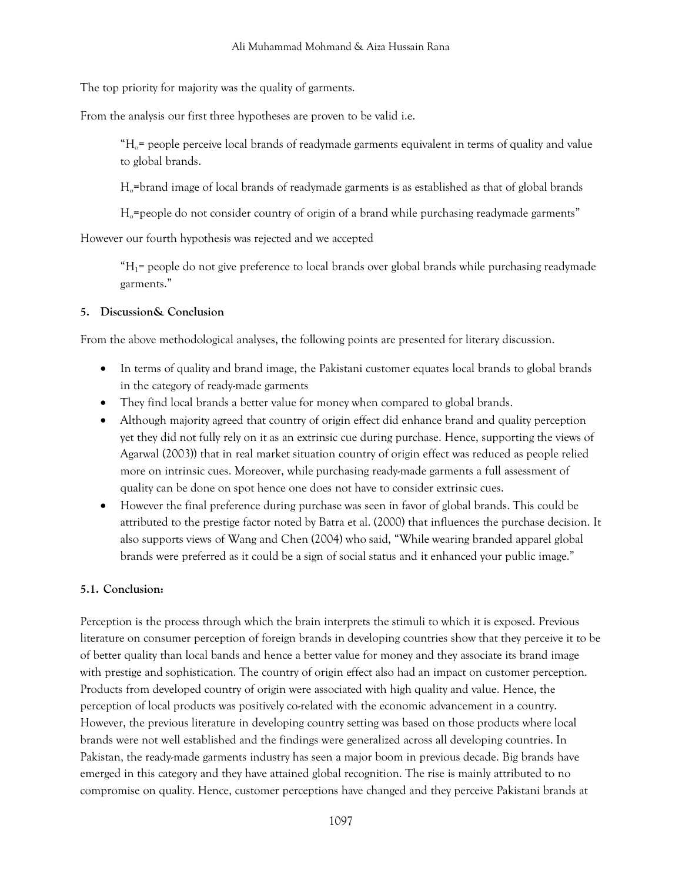The top priority for majority was the quality of garments.

From the analysis our first three hypotheses are proven to be valid i.e.

 $H_0$ = people perceive local brands of readymade garments equivalent in terms of quality and value to global brands.

Ho=brand image of local brands of readymade garments is as established as that of global brands

 $H<sub>o</sub>=$  people do not consider country of origin of a brand while purchasing readymade garments"

However our fourth hypothesis was rejected and we accepted

 $H_1$ = people do not give preference to local brands over global brands while purchasing readymade garments."

# **5. Discussion& Conclusion**

From the above methodological analyses, the following points are presented for literary discussion.

- In terms of quality and brand image, the Pakistani customer equates local brands to global brands in the category of ready-made garments
- They find local brands a better value for money when compared to global brands.
- Although majority agreed that country of origin effect did enhance brand and quality perception yet they did not fully rely on it as an extrinsic cue during purchase. Hence, supporting the views of Agarwal (2003)) that in real market situation country of origin effect was reduced as people relied more on intrinsic cues. Moreover, while purchasing ready-made garments a full assessment of quality can be done on spot hence one does not have to consider extrinsic cues.
- However the final preference during purchase was seen in favor of global brands. This could be attributed to the prestige factor noted by Batra et al. (2000) that influences the purchase decision. It also supports views of Wang and Chen (2004) who said, "While wearing branded apparel global brands were preferred as it could be a sign of social status and it enhanced your public image."

# **5.1. Conclusion:**

Perception is the process through which the brain interprets the stimuli to which it is exposed. Previous literature on consumer perception of foreign brands in developing countries show that they perceive it to be of better quality than local bands and hence a better value for money and they associate its brand image with prestige and sophistication. The country of origin effect also had an impact on customer perception. Products from developed country of origin were associated with high quality and value. Hence, the perception of local products was positively co-related with the economic advancement in a country. However, the previous literature in developing country setting was based on those products where local brands were not well established and the findings were generalized across all developing countries. In Pakistan, the ready-made garments industry has seen a major boom in previous decade. Big brands have emerged in this category and they have attained global recognition. The rise is mainly attributed to no compromise on quality. Hence, customer perceptions have changed and they perceive Pakistani brands at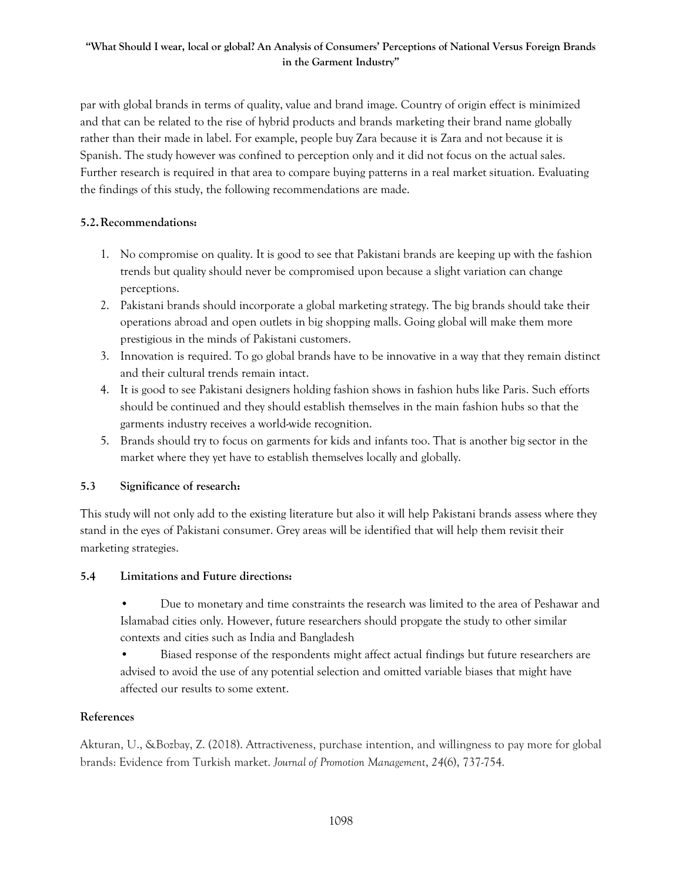par with global brands in terms of quality, value and brand image. Country of origin effect is minimized and that can be related to the rise of hybrid products and brands marketing their brand name globally rather than their made in label. For example, people buy Zara because it is Zara and not because it is Spanish. The study however was confined to perception only and it did not focus on the actual sales. Further research is required in that area to compare buying patterns in a real market situation. Evaluating the findings of this study, the following recommendations are made.

# **5.2.Recommendations:**

- 1. No compromise on quality. It is good to see that Pakistani brands are keeping up with the fashion trends but quality should never be compromised upon because a slight variation can change perceptions.
- 2. Pakistani brands should incorporate a global marketing strategy. The big brands should take their operations abroad and open outlets in big shopping malls. Going global will make them more prestigious in the minds of Pakistani customers.
- 3. Innovation is required. To go global brands have to be innovative in a way that they remain distinct and their cultural trends remain intact.
- 4. It is good to see Pakistani designers holding fashion shows in fashion hubs like Paris. Such efforts should be continued and they should establish themselves in the main fashion hubs so that the garments industry receives a world-wide recognition.
- 5. Brands should try to focus on garments for kids and infants too. That is another big sector in the market where they yet have to establish themselves locally and globally.

# **5.3 Significance of research:**

This study will not only add to the existing literature but also it will help Pakistani brands assess where they stand in the eyes of Pakistani consumer. Grey areas will be identified that will help them revisit their marketing strategies.

# **5.4 Limitations and Future directions:**

- Due to monetary and time constraints the research was limited to the area of Peshawar and Islamabad cities only. However, future researchers should propgate the study to other similar contexts and cities such as India and Bangladesh
- Biased response of the respondents might affect actual findings but future researchers are advised to avoid the use of any potential selection and omitted variable biases that might have affected our results to some extent.

# **References**

Akturan, U., &Bozbay, Z. (2018). Attractiveness, purchase intention, and willingness to pay more for global brands: Evidence from Turkish market. *Journal of Promotion Management*, *24*(6), 737-754.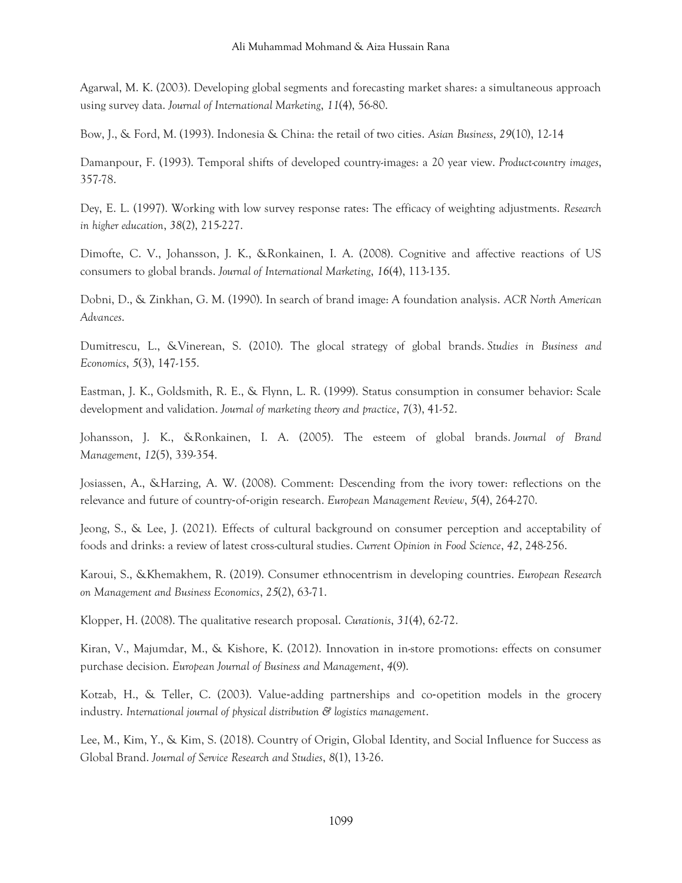Agarwal, M. K. (2003). Developing global segments and forecasting market shares: a simultaneous approach using survey data. *Journal of International Marketing*, *11*(4), 56-80.

Bow, J., & Ford, M. (1993). Indonesia & China: the retail of two cities. *Asian Business*, *29*(10), 12-14

Damanpour, F. (1993). Temporal shifts of developed country-images: a 20 year view. *Product-country images*, 357-78.

Dey, E. L. (1997). Working with low survey response rates: The efficacy of weighting adjustments. *Research in higher education*, *38*(2), 215-227.

Dimofte, C. V., Johansson, J. K., &Ronkainen, I. A. (2008). Cognitive and affective reactions of US consumers to global brands. *Journal of International Marketing*, *16*(4), 113-135.

Dobni, D., & Zinkhan, G. M. (1990). In search of brand image: A foundation analysis. *ACR North American Advances*.

Dumitrescu, L., &Vinerean, S. (2010). The glocal strategy of global brands. *Studies in Business and Economics*, *5*(3), 147-155.

Eastman, J. K., Goldsmith, R. E., & Flynn, L. R. (1999). Status consumption in consumer behavior: Scale development and validation. *Journal of marketing theory and practice*, *7*(3), 41-52.

Johansson, J. K., &Ronkainen, I. A. (2005). The esteem of global brands. *Journal of Brand Management*, *12*(5), 339-354.

Josiassen, A., &Harzing, A. W. (2008). Comment: Descending from the ivory tower: reflections on the relevance and future of country‐of‐origin research. *European Management Review*, *5*(4), 264-270.

Jeong, S., & Lee, J. (2021). Effects of cultural background on consumer perception and acceptability of foods and drinks: a review of latest cross-cultural studies. *Current Opinion in Food Science*, *42*, 248-256.

Karoui, S., &Khemakhem, R. (2019). Consumer ethnocentrism in developing countries. *European Research on Management and Business Economics*, *25*(2), 63-71.

Klopper, H. (2008). The qualitative research proposal. *Curationis*, *31*(4), 62-72.

Kiran, V., Majumdar, M., & Kishore, K. (2012). Innovation in in-store promotions: effects on consumer purchase decision. *European Journal of Business and Management*, *4*(9).

Kotzab, H., & Teller, C. (2003). Value-adding partnerships and co-opetition models in the grocery industry. *International journal of physical distribution & logistics management*.

Lee, M., Kim, Y., & Kim, S. (2018). Country of Origin, Global Identity, and Social Influence for Success as Global Brand. *Journal of Service Research and Studies*, *8*(1), 13-26.